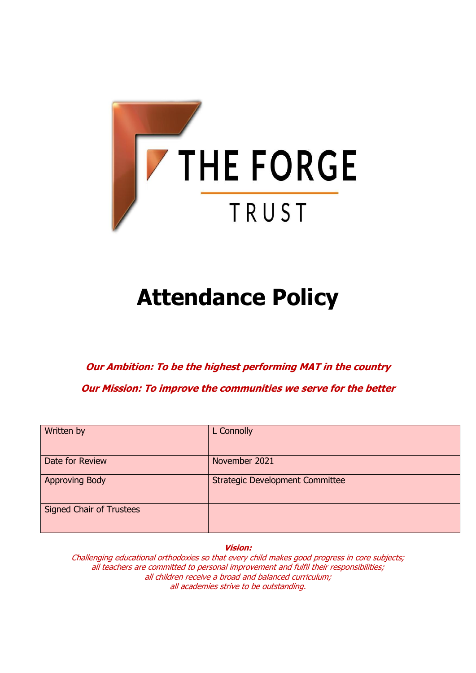

# **Attendance Policy**

**Our Ambition: To be the highest performing MAT in the country**

**Our Mission: To improve the communities we serve for the better**

| Written by                      | L Connolly                             |
|---------------------------------|----------------------------------------|
| Date for Review                 | November 2021                          |
| <b>Approving Body</b>           | <b>Strategic Development Committee</b> |
| <b>Signed Chair of Trustees</b> |                                        |

**Vision:**

Challenging educational orthodoxies so that every child makes good progress in core subjects; all teachers are committed to personal improvement and fulfil their responsibilities; all children receive a broad and balanced curriculum; all academies strive to be outstanding.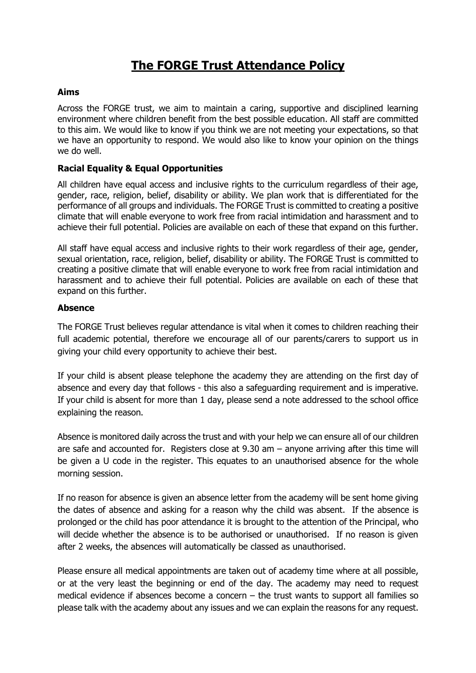## **The FORGE Trust Attendance Policy**

#### **Aims**

Across the FORGE trust, we aim to maintain a caring, supportive and disciplined learning environment where children benefit from the best possible education. All staff are committed to this aim. We would like to know if you think we are not meeting your expectations, so that we have an opportunity to respond. We would also like to know your opinion on the things we do well.

#### **Racial Equality & Equal Opportunities**

All children have equal access and inclusive rights to the curriculum regardless of their age, gender, race, religion, belief, disability or ability. We plan work that is differentiated for the performance of all groups and individuals. The FORGE Trust is committed to creating a positive climate that will enable everyone to work free from racial intimidation and harassment and to achieve their full potential. Policies are available on each of these that expand on this further.

All staff have equal access and inclusive rights to their work regardless of their age, gender, sexual orientation, race, religion, belief, disability or ability. The FORGE Trust is committed to creating a positive climate that will enable everyone to work free from racial intimidation and harassment and to achieve their full potential. Policies are available on each of these that expand on this further.

#### **Absence**

The FORGE Trust believes regular attendance is vital when it comes to children reaching their full academic potential, therefore we encourage all of our parents/carers to support us in giving your child every opportunity to achieve their best.

If your child is absent please telephone the academy they are attending on the first day of absence and every day that follows - this also a safeguarding requirement and is imperative. If your child is absent for more than 1 day, please send a note addressed to the school office explaining the reason.

Absence is monitored daily across the trust and with your help we can ensure all of our children are safe and accounted for. Registers close at 9.30 am – anyone arriving after this time will be given a U code in the register. This equates to an unauthorised absence for the whole morning session.

If no reason for absence is given an absence letter from the academy will be sent home giving the dates of absence and asking for a reason why the child was absent. If the absence is prolonged or the child has poor attendance it is brought to the attention of the Principal, who will decide whether the absence is to be authorised or unauthorised. If no reason is given after 2 weeks, the absences will automatically be classed as unauthorised.

Please ensure all medical appointments are taken out of academy time where at all possible, or at the very least the beginning or end of the day. The academy may need to request medical evidence if absences become a concern – the trust wants to support all families so please talk with the academy about any issues and we can explain the reasons for any request.